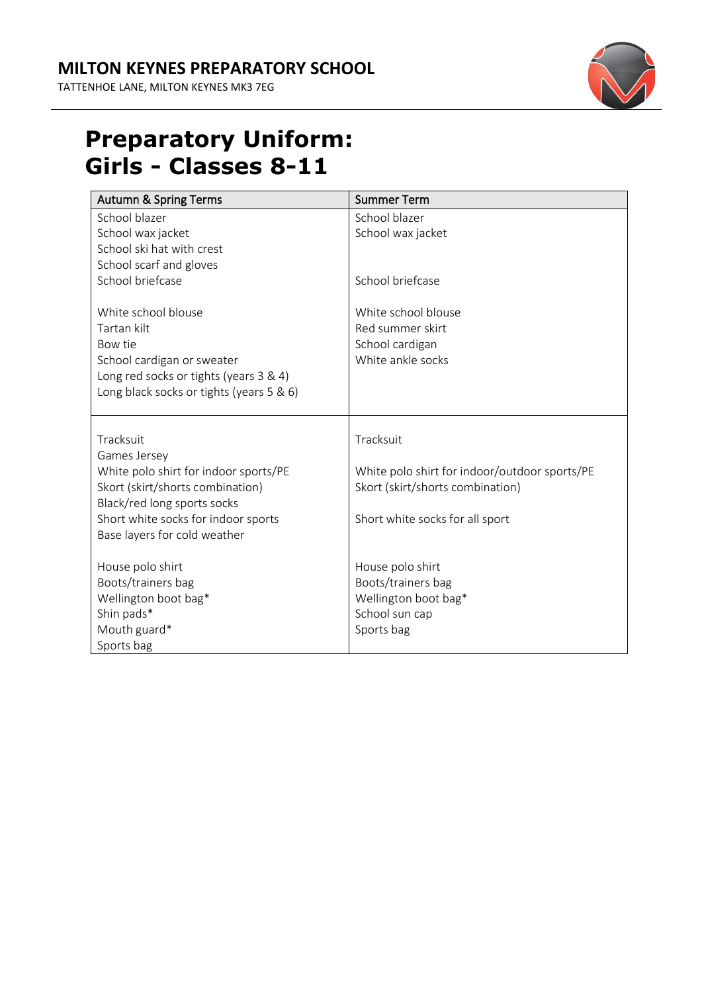## **MILTON KEYNES PREPARATORY SCHOOL**

TATTENHOE LANE, MILTON KEYNES MK3 7EG



## **Preparatory Uniform: Girls - Classes 8-11**

| <b>Autumn &amp; Spring Terms</b>                                                                                                                                  | <b>Summer Term</b>                                                              |
|-------------------------------------------------------------------------------------------------------------------------------------------------------------------|---------------------------------------------------------------------------------|
| School blazer                                                                                                                                                     | School blazer                                                                   |
| School wax jacket                                                                                                                                                 | School wax jacket                                                               |
| School ski hat with crest                                                                                                                                         |                                                                                 |
| School scarf and gloves                                                                                                                                           |                                                                                 |
| School briefcase                                                                                                                                                  | School briefcase                                                                |
| White school blouse<br>Tartan kilt<br>Bow tie<br>School cardigan or sweater<br>Long red socks or tights (years 3 & 4)<br>Long black socks or tights (years 5 & 6) | White school blouse<br>Red summer skirt<br>School cardigan<br>White ankle socks |
| Tracksuit                                                                                                                                                         | Tracksuit                                                                       |
| Games Jersey                                                                                                                                                      |                                                                                 |
| White polo shirt for indoor sports/PE                                                                                                                             | White polo shirt for indoor/outdoor sports/PE                                   |
| Skort (skirt/shorts combination)                                                                                                                                  | Skort (skirt/shorts combination)                                                |
| Black/red long sports socks                                                                                                                                       |                                                                                 |
| Short white socks for indoor sports<br>Base layers for cold weather                                                                                               | Short white socks for all sport                                                 |
|                                                                                                                                                                   |                                                                                 |
| House polo shirt                                                                                                                                                  | House polo shirt                                                                |
| Boots/trainers bag                                                                                                                                                | Boots/trainers bag                                                              |
| Wellington boot bag*                                                                                                                                              | Wellington boot bag*                                                            |
| Shin pads*                                                                                                                                                        | School sun cap                                                                  |
| Mouth guard*                                                                                                                                                      | Sports bag                                                                      |
| Sports bag                                                                                                                                                        |                                                                                 |